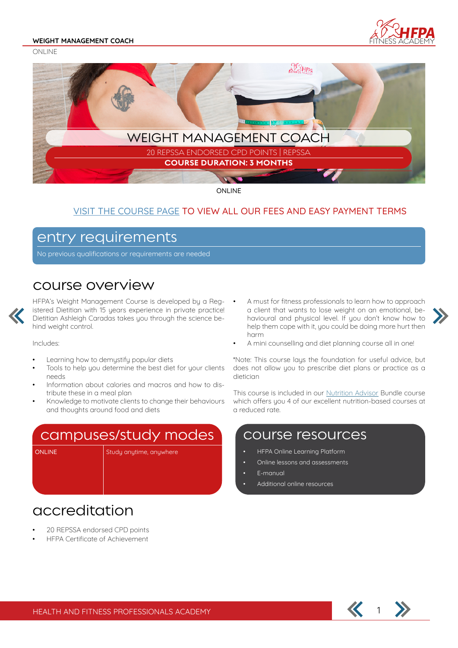ONLINE





ONLINE

#### VISIT THE COURSE PAGE TO VIEW ALL OUR FEES AND EASY PAYMENT TERMS

### entry requirements

No previous qualifications or requirements are needed

### course overview

HFPA's Weight Management Course is developed by a Registered Dietitian with 15 years experience in private practice! Dietitian Ashleigh Caradas takes you through the science behind weight control.

Includes:

- Learning how to demystify popular diets
- Tools to help you determine the best diet for your clients needs
- Information about calories and macros and how to distribute these in a meal plan
- Knowledge to motivate clients to change their behaviours and thoughts around food and diets

## campuses/study modes

ONLINE Study anytime, anywhere

- A must for fitness professionals to learn how to approach a client that wants to lose weight on an emotional, behavioural and physical level. If you don't know how to help them cope with it, you could be doing more hurt then harm
- A mini counselling and diet planning course all in one!

\*Note: This course lays the foundation for useful advice, but does not allow you to prescribe diet plans or practice as a dietician

This course is included in our Nutrition Advisor Bundle course which offers you 4 of our excellent nutrition-based courses at a reduced rate.

### course resources

- HFPA Online Learning Platform
- Online lessons and assessments
- E-manual
- Additional online resources

## accreditation

- 20 REPSSA endorsed CPD points
- HFPA Certificate of Achievement